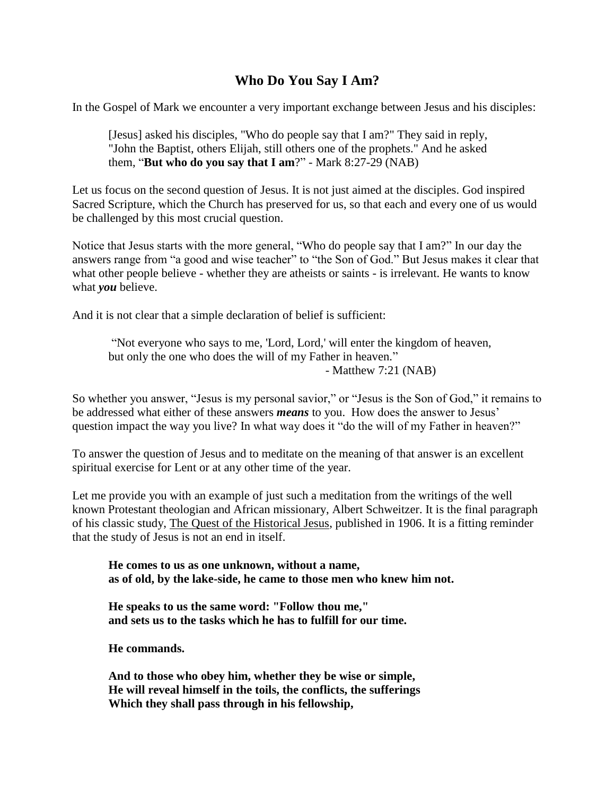## **Who Do You Say I Am?**

In the Gospel of Mark we encounter a very important exchange between Jesus and his disciples:

[Jesus] asked his disciples, "Who do people say that I am?" They said in reply, "John the Baptist, others Elijah, still others one of the prophets." And he asked them, "**But who do you say that I am**?" - Mark 8:27-29 (NAB)

Let us focus on the second question of Jesus. It is not just aimed at the disciples. God inspired Sacred Scripture, which the Church has preserved for us, so that each and every one of us would be challenged by this most crucial question.

Notice that Jesus starts with the more general, "Who do people say that I am?" In our day the answers range from "a good and wise teacher" to "the Son of God." But Jesus makes it clear that what other people believe - whether they are atheists or saints - is irrelevant. He wants to know what *you* believe.

And it is not clear that a simple declaration of belief is sufficient:

"Not everyone who says to me, 'Lord, Lord,' will enter the kingdom of heaven, but only the one who does the will of my Father in heaven." - Matthew 7:21 (NAB)

So whether you answer, "Jesus is my personal savior," or "Jesus is the Son of God," it remains to be addressed what either of these answers *means* to you. How does the answer to Jesus' question impact the way you live? In what way does it "do the will of my Father in heaven?"

To answer the question of Jesus and to meditate on the meaning of that answer is an excellent spiritual exercise for Lent or at any other time of the year.

Let me provide you with an example of just such a meditation from the writings of the well known Protestant theologian and African missionary, Albert Schweitzer. It is the final paragraph of his classic study, The Quest of the Historical Jesus, published in 1906. It is a fitting reminder that the study of Jesus is not an end in itself.

**He comes to us as one unknown, without a name, as of old, by the lake-side, he came to those men who knew him not.**

**He speaks to us the same word: "Follow thou me," and sets us to the tasks which he has to fulfill for our time.**

**He commands.**

**And to those who obey him, whether they be wise or simple, He will reveal himself in the toils, the conflicts, the sufferings Which they shall pass through in his fellowship,**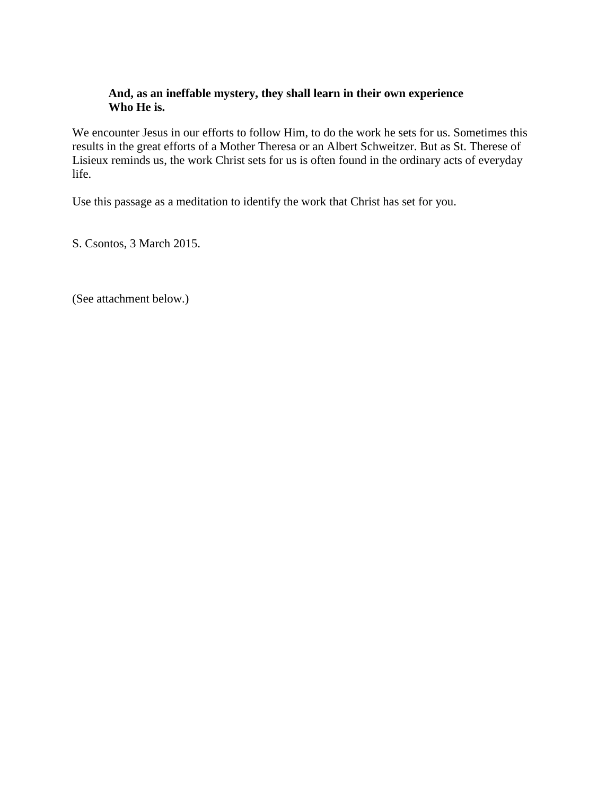## **And, as an ineffable mystery, they shall learn in their own experience Who He is.**

We encounter Jesus in our efforts to follow Him, to do the work he sets for us. Sometimes this results in the great efforts of a Mother Theresa or an Albert Schweitzer. But as St. Therese of Lisieux reminds us, the work Christ sets for us is often found in the ordinary acts of everyday life.

Use this passage as a meditation to identify the work that Christ has set for you.

S. Csontos, 3 March 2015.

(See attachment below.)